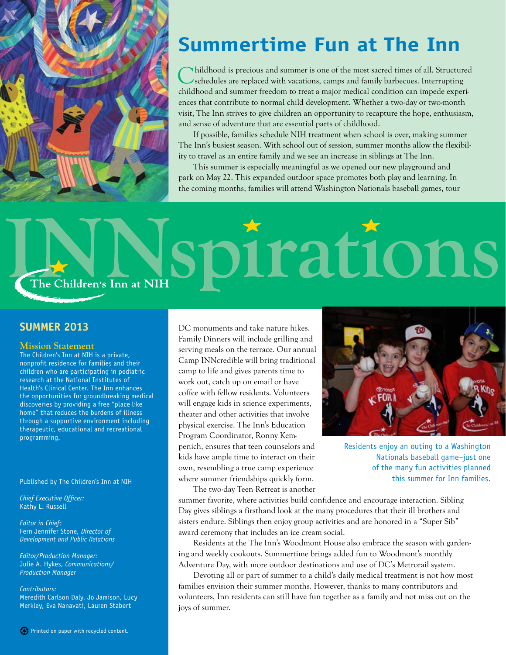

## **Summertime Fun at The Inn**

Childhood is precious and summer is one of the most sacred times of all. Structured schedules are replaced with vacations, camps and family barbecues. Interrupting childhood and summer freedom to treat a major medical condition can impede experiences that contribute to normal child development. Whether a two-day or two-month visit, The Inn strives to give children an opportunity to recapture the hope, enthusiasm, and sense of adventure that are essential parts of childhood.

If possible, families schedule NIH treatment when school is over, making summer The Inn's busiest season. With school out of session, summer months allow the flexibility to travel as an entire family and we see an increase in siblings at The Inn.

This summer is especially meaningful as we opened our new playground and park on May 22. This expanded outdoor space promotes both play and learning. In the coming months, families will attend Washington Nationals baseball games, tour

## trati LODIS The Children's Inn at NIH

#### **Summer 2013**

#### **Mission Statement**

The Children's Inn at NIH is a private, nonprofit residence for families and their children who are participating in pediatric research at the National Institutes of Health's Clinical Center. The Inn enhances the opportunities for groundbreaking medical discoveries by providing a free "place like home" that reduces the burdens of illness through a supportive environment including therapeutic, educational and recreational programming.

Published by The Children's Inn at NIH

*Chief Executive Officer:* Kathy L. Russell

*Editor in Chief:* Fern Jennifer Stone, *Director of Development and Public Relations*

*Editor/Production Manager:* Julie A. Hykes, *Communications/ Production Manager*

*Contributors:* Meredith Carlson Daly, Jo Jamison, Lucy Merkley, Eva Nanavati, Lauren Stabert

DC monuments and take nature hikes. Family Dinners will include grilling and serving meals on the terrace. Our annual Camp INNcredible will bring traditional camp to life and gives parents time to work out, catch up on email or have coffee with fellow residents. Volunteers will engage kids in science experiments, theater and other activities that involve physical exercise. The Inn's Education Program Coordinator, Ronny Kempenich, ensures that teen counselors and kids have ample time to interact on their own, resembling a true camp experience where summer friendships quickly form. The two-day Teen Retreat is another



Residents enjoy an outing to a Washington Nationals baseball game–just one of the many fun activities planned this summer for Inn families.

summer favorite, where activities build confidence and encourage interaction. Sibling Day gives siblings a firsthand look at the many procedures that their ill brothers and sisters endure. Siblings then enjoy group activities and are honored in a "Super Sib" award ceremony that includes an ice cream social.

Residents at the The Inn's Woodmont House also embrace the season with gardening and weekly cookouts. Summertime brings added fun to Woodmont's monthly Adventure Day, with more outdoor destinations and use of DC's Metrorail system.

Devoting all or part of summer to a child's daily medical treatment is not how most families envision their summer months. However, thanks to many contributors and volunteers, Inn residents can still have fun together as a family and not miss out on the joys of summer.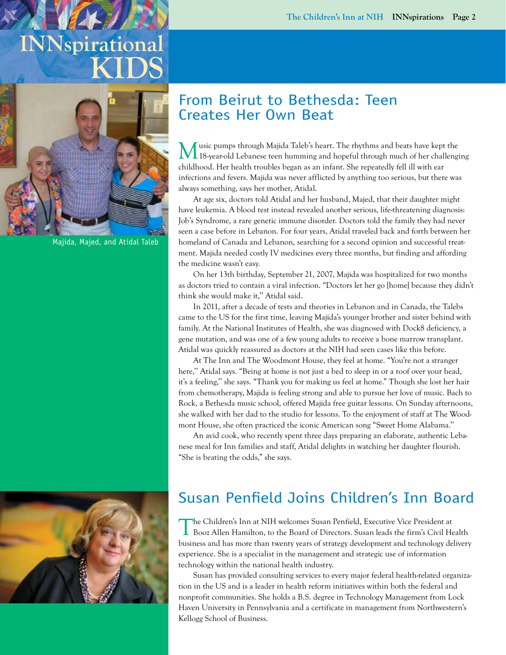## **INNspirational KIDS**



Majida, Majed, and Atidal Taleb

### From Beirut to Bethesda: Teen Creates Her Own Beat

usic pumps through Majida Taleb's heart. The rhythms and beats have kept the 18-year-old Lebanese teen humming and hopeful through much of her challenging childhood. Her health troubles began as an infant. She repeatedly fell ill with ear infections and fevers. Majida was never afflicted by anything too serious, but there was always something, says her mother, Atidal.

At age six, doctors told Atidal and her husband, Majed, that their daughter might have leukemia. A blood test instead revealed another serious, life-threatening diagnosis: Job's Syndrome, a rare genetic immune disorder. Doctors told the family they had never seen a case before in Lebanon. For four years, Atidal traveled back and forth between her homeland of Canada and Lebanon, searching for a second opinion and successful treatment. Majida needed costly IV medicines every three months, but finding and affording the medicine wasn't easy.

On her 13th birthday, September 21, 2007, Majida was hospitalized for two months as doctors tried to contain a viral infection. "Doctors let her go [home] because they didn't think she would make it,'' Atidal said.

In 2011, after a decade of tests and theories in Lebanon and in Canada, the Talebs came to the US for the first time, leaving Majida's younger brother and sister behind with family. At the National Institutes of Health, she was diagnosed with Dock8 deficiency, a gene mutation, and was one of a few young adults to receive a bone marrow transplant. Atidal was quickly reassured as doctors at the NIH had seen cases like this before.

At The Inn and The Woodmont House, they feel at home. "You're not a stranger here," Atidal says. "Being at home is not just a bed to sleep in or a roof over your head, it's a feeling,'' she says. "Thank you for making us feel at home." Though she lost her hair from chemotherapy, Majida is feeling strong and able to pursue her love of music. Bach to Rock, a Bethesda music school, offered Majida free guitar lessons. On Sunday afternoons, she walked with her dad to the studio for lessons. To the enjoyment of staff at The Woodmont House, she often practiced the iconic American song "Sweet Home Alabama.''

An avid cook, who recently spent three days preparing an elaborate, authentic Lebanese meal for Inn families and staff, Atidal delights in watching her daughter flourish. "She is beating the odds," she says.



## Susan Penfield Joins Children's Inn Board

The Children's Inn at NIH welcomes Susan Penfield, Executive Vice President at Booz Allen Hamilton, to the Board of Directors. Susan leads the firm's Civil Health business and has more than twenty years of strategy development and technology delivery experience. She is a specialist in the management and strategic use of information technology within the national health industry.

Susan has provided consulting services to every major federal health-related organization in the US and is a leader in health reform initiatives within both the federal and nonprofit communities. She holds a B.S. degree in Technology Management from Lock Haven University in Pennsylvania and a certificate in management from Northwestern's Kellogg School of Business.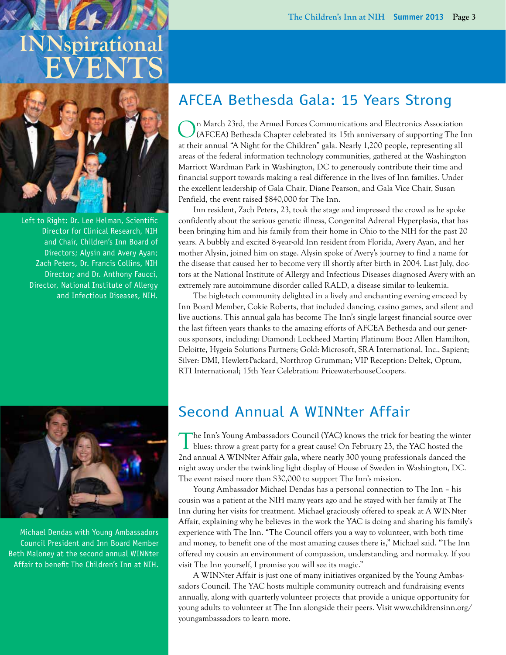# **INNspirational EVENTS**



Left to Right: Dr. Lee Helman, Scientific Director for Clinical Research, NIH and Chair, Children's Inn Board of Directors; Alysin and Avery Ayan; Zach Peters, Dr. Francis Collins, NIH Director; and Dr. Anthony Faucci, Director, National Institute of Allergy and Infectious Diseases, NIH.

### AFCEA Bethesda Gala: 15 Years Strong

On March 23rd, the Armed Forces Communications and Electronics Association (AFCEA) Bethesda Chapter celebrated its 15th anniversary of supporting The Inn at their annual "A Night for the Children" gala. Nearly 1,200 people, representing all areas of the federal information technology communities, gathered at the Washington Marriott Wardman Park in Washington, DC to generously contribute their time and financial support towards making a real difference in the lives of Inn families. Under the excellent leadership of Gala Chair, Diane Pearson, and Gala Vice Chair, Susan Penfield, the event raised \$840,000 for The Inn.

Inn resident, Zach Peters, 23, took the stage and impressed the crowd as he spoke confidently about the serious genetic illness, Congenital Adrenal Hyperplasia, that has been bringing him and his family from their home in Ohio to the NIH for the past 20 years. A bubbly and excited 8-year-old Inn resident from Florida, Avery Ayan, and her mother Alysin, joined him on stage. Alysin spoke of Avery's journey to find a name for the disease that caused her to become very ill shortly after birth in 2004. Last July, doctors at the National Institute of Allergy and Infectious Diseases diagnosed Avery with an extremely rare autoimmune disorder called RALD, a disease similar to leukemia.

The high-tech community delighted in a lively and enchanting evening emceed by Inn Board Member, Cokie Roberts, that included dancing, casino games, and silent and live auctions. This annual gala has become The Inn's single largest financial source over the last fifteen years thanks to the amazing efforts of AFCEA Bethesda and our generous sponsors, including: Diamond: Lockheed Martin; Platinum: Booz Allen Hamilton, Deloitte, Hygeia Solutions Partners; Gold: Microsoft, SRA International, Inc., Sapient; Silver: DMI, Hewlett-Packard, Northrop Grumman; VIP Reception: Deltek, Optum, RTI International; 15th Year Celebration: PricewaterhouseCoopers.



Michael Dendas with Young Ambassadors Council President and Inn Board Member Beth Maloney at the second annual WINNter Affair to benefit The Children's Inn at NIH.

### Second Annual A WINNter Affair

The Inn's Young Ambassadors Council (YAC) knows the trick for beating the winter blues: throw a great party for a great cause! On February 23, the YAC hosted the 2nd annual A WINNter Affair gala, where nearly 300 young professionals danced the night away under the twinkling light display of House of Sweden in Washington, DC. The event raised more than \$30,000 to support The Inn's mission.

Young Ambassador Michael Dendas has a personal connection to The Inn – his cousin was a patient at the NIH many years ago and he stayed with her family at The Inn during her visits for treatment. Michael graciously offered to speak at A WINNter Affair, explaining why he believes in the work the YAC is doing and sharing his family's experience with The Inn. "The Council offers you a way to volunteer, with both time and money, to benefit one of the most amazing causes there is," Michael said. "The Inn offered my cousin an environment of compassion, understanding, and normalcy. If you visit The Inn yourself, I promise you will see its magic."

A WINNter Affair is just one of many initiatives organized by the Young Ambassadors Council. The YAC hosts multiple community outreach and fundraising events annually, along with quarterly volunteer projects that provide a unique opportunity for young adults to volunteer at The Inn alongside their peers. Visit www.childrensinn.org/ youngambassadors to learn more.